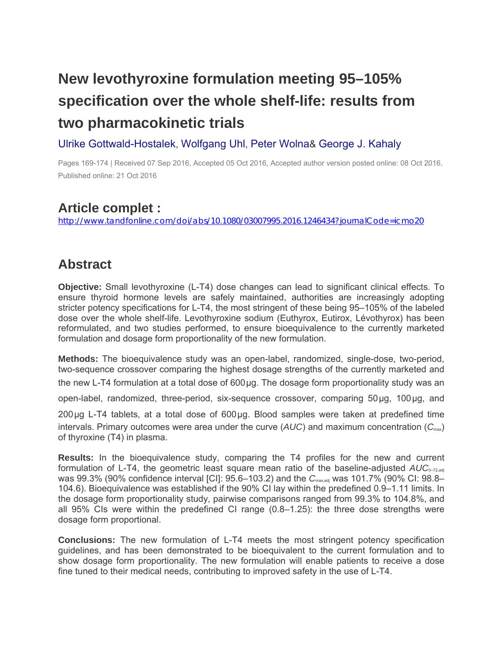## **New levothyroxine formulation meeting 95–105% specification over the whole shelf-life: results from two pharmacokinetic trials**

## [Ulrike Gottwald-Hostalek,](http://www.tandfonline.com/author/Gottwald-Hostalek%2C+Ulrike) [Wolfgang Uhl,](http://www.tandfonline.com/author/Uhl%2C+Wolfgang) [Peter Wolna&](http://www.tandfonline.com/author/Wolna%2C+Peter) [George J. Kahaly](http://www.tandfonline.com/author/Kahaly%2C+George+J)

Pages 169-174 | Received 07 Sep 2016, Accepted 05 Oct 2016, Accepted author version posted online: 08 Oct 2016, Published online: 21 Oct 2016

## **Article complet :**

<http://www.tandfonline.com/doi/abs/10.1080/03007995.2016.1246434?journalCode=icmo20>

## **Abstract**

**Objective:** Small levothyroxine (L-T4) dose changes can lead to significant clinical effects. To ensure thyroid hormone levels are safely maintained, authorities are increasingly adopting stricter potency specifications for L-T4, the most stringent of these being 95–105% of the labeled dose over the whole shelf-life. Levothyroxine sodium (Euthyrox, Eutirox, Lévothyrox) has been reformulated, and two studies performed, to ensure bioequivalence to the currently marketed formulation and dosage form proportionality of the new formulation.

**Methods:** The bioequivalence study was an open-label, randomized, single-dose, two-period, two-sequence crossover comparing the highest dosage strengths of the currently marketed and

the new L-T4 formulation at a total dose of 600μg. The dosage form proportionality study was an

open-label, randomized, three-period, six-sequence crossover, comparing 50μg, 100μg, and

200μg L-T4 tablets, at a total dose of 600μg. Blood samples were taken at predefined time intervals. Primary outcomes were area under the curve ( $AUC$ ) and maximum concentration ( $C_{\text{max}}$ ) of thyroxine (T4) in plasma.

**Results:** In the bioequivalence study, comparing the T4 profiles for the new and current formulation of L-T4, the geometric least square mean ratio of the baseline-adjusted *AUC*<sub>0-72,adj</sub> was 99.3% (90% confidence interval [CI]: 95.6–103.2) and the C<sub>max,adj</sub> was 101.7% (90% CI: 98.8– 104.6). Bioequivalence was established if the 90% CI lay within the predefined 0.9–1.11 limits. In the dosage form proportionality study, pairwise comparisons ranged from 99.3% to 104.8%, and all 95% CIs were within the predefined CI range (0.8–1.25): the three dose strengths were dosage form proportional.

**Conclusions:** The new formulation of L-T4 meets the most stringent potency specification guidelines, and has been demonstrated to be bioequivalent to the current formulation and to show dosage form proportionality. The new formulation will enable patients to receive a dose fine tuned to their medical needs, contributing to improved safety in the use of L-T4.